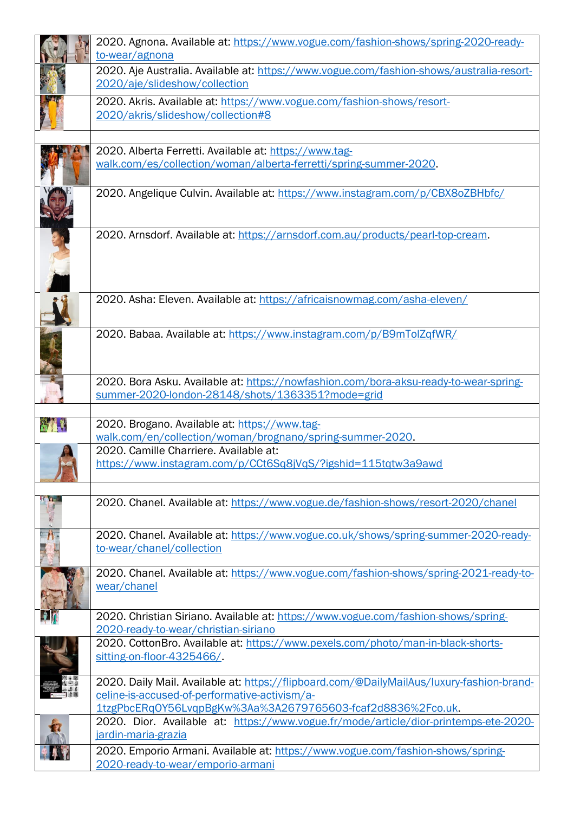| 2020. Agnona. Available at: https://www.vogue.com/fashion-shows/spring-2020-ready-<br>to-wear/agnona                                      |
|-------------------------------------------------------------------------------------------------------------------------------------------|
| 2020. Aje Australia. Available at: https://www.vogue.com/fashion-shows/australia-resort-<br>2020/aje/slideshow/collection                 |
| 2020. Akris. Available at: https://www.vogue.com/fashion-shows/resort-<br>2020/akris/slideshow/collection#8                               |
|                                                                                                                                           |
| 2020. Alberta Ferretti. Available at: https://www.tag-<br>walk.com/es/collection/woman/alberta-ferretti/spring-summer-2020.               |
| 2020. Angelique Culvin. Available at: https://www.instagram.com/p/CBX8oZBHbfc/                                                            |
| 2020. Arnsdorf. Available at: https://arnsdorf.com.au/products/pearl-top-cream.                                                           |
| 2020. Asha: Eleven. Available at: https://africaisnowmag.com/asha-eleven/                                                                 |
| 2020. Babaa. Available at: https://www.instagram.com/p/B9mTolZqfWR/                                                                       |
| 2020. Bora Asku. Available at: https://nowfashion.com/bora-aksu-ready-to-wear-spring-<br>summer-2020-london-28148/shots/1363351?mode=grid |
|                                                                                                                                           |
|                                                                                                                                           |
| 2020. Brogano. Available at: https://www.tag-                                                                                             |
| walk.com/en/collection/woman/brognano/spring-summer-2020.<br>2020. Camille Charriere. Available at:                                       |
| https://www.instagram.com/p/CCt6Sq8jVqS/?igshid=115tqtw3a9awd                                                                             |
|                                                                                                                                           |
| 2020. Chanel. Available at: https://www.vogue.de/fashion-shows/resort-2020/chanel                                                         |
| 2020. Chanel. Available at: https://www.vogue.co.uk/shows/spring-summer-2020-ready-<br>to-wear/chanel/collection                          |
| 2020. Chanel. Available at: https://www.vogue.com/fashion-shows/spring-2021-ready-to-<br>wear/chanel                                      |
| 2020. Christian Siriano. Available at: https://www.vogue.com/fashion-shows/spring-                                                        |
| 2020-ready-to-wear/christian-siriano                                                                                                      |
| 2020. CottonBro. Available at: https://www.pexels.com/photo/man-in-black-shorts-<br>sitting-on-floor-4325466/.                            |
| 2020. Daily Mail. Available at: https://flipboard.com/@DailyMailAus/luxury-fashion-brand-                                                 |
| celine-is-accused-of-performative-activism/a-                                                                                             |
| 1tzgPbcERq0Y56LvqpBgKw%3Aa%3A2679765603-fcaf2d8836%2Fco.uk                                                                                |
| 2020. Dior. Available at: https://www.vogue.fr/mode/article/dior-printemps-ete-2020-<br>jardin-maria-grazia                               |
| 2020. Emporio Armani. Available at: https://www.vogue.com/fashion-shows/spring-<br>2020-ready-to-wear/emporio-armani                      |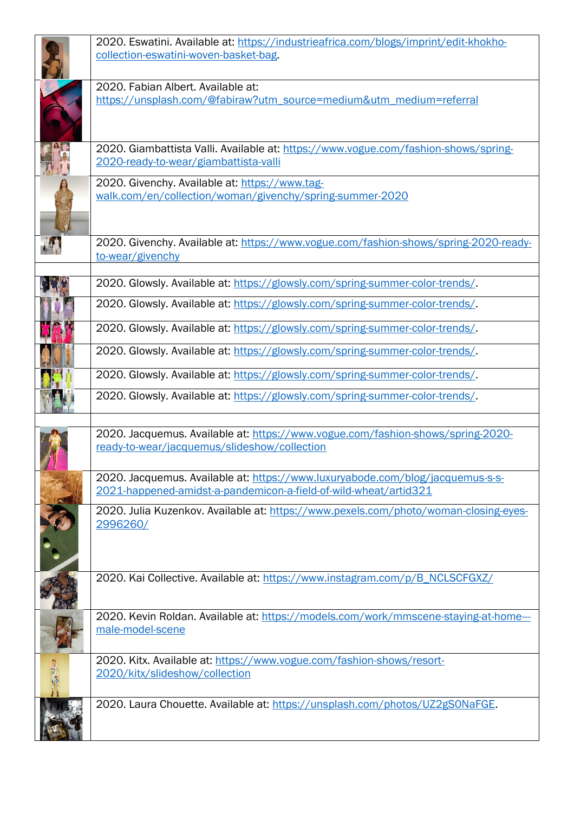|         | 2020. Eswatini. Available at: https://industrieafrica.com/blogs/imprint/edit-khokho- |
|---------|--------------------------------------------------------------------------------------|
|         | collection-eswatini-woven-basket-bag.                                                |
|         |                                                                                      |
|         | 2020. Fabian Albert. Available at:                                                   |
|         | https://unsplash.com/@fabiraw?utm_source=medium&utm_medium=referral                  |
|         |                                                                                      |
|         |                                                                                      |
|         |                                                                                      |
|         | 2020. Giambattista Valli. Available at: https://www.vogue.com/fashion-shows/spring-  |
|         | 2020-ready-to-wear/giambattista-valli                                                |
|         | 2020. Givenchy. Available at: https://www.tag-                                       |
|         | walk.com/en/collection/woman/givenchy/spring-summer-2020                             |
|         |                                                                                      |
|         |                                                                                      |
|         | 2020. Givenchy. Available at: https://www.vogue.com/fashion-shows/spring-2020-ready- |
|         | to-wear/givenchy                                                                     |
|         |                                                                                      |
|         | 2020. Glowsly. Available at: https://glowsly.com/spring-summer-color-trends/.        |
|         | 2020. Glowsly. Available at: https://glowsly.com/spring-summer-color-trends/.        |
|         |                                                                                      |
|         | 2020. Glowsly. Available at: https://glowsly.com/spring-summer-color-trends/.        |
|         | 2020. Glowsly. Available at: https://glowsly.com/spring-summer-color-trends/.        |
|         |                                                                                      |
|         | 2020. Glowsly. Available at: https://glowsly.com/spring-summer-color-trends/.        |
|         | 2020. Glowsly. Available at: https://glowsly.com/spring-summer-color-trends/.        |
|         |                                                                                      |
|         | 2020. Jacquemus. Available at: https://www.vogue.com/fashion-shows/spring-2020-      |
|         | ready-to-wear/jacquemus/slideshow/collection                                         |
|         |                                                                                      |
|         | 2020. Jacquemus. Available at: https://www.luxuryabode.com/blog/jacquemus-s-s-       |
|         | 2021-happened-amidst-a-pandemicon-a-field-of-wild-wheat/artid321                     |
|         |                                                                                      |
|         | 2020. Julia Kuzenkov. Available at: https://www.pexels.com/photo/woman-closing-eyes- |
|         | 2996260/                                                                             |
|         |                                                                                      |
|         |                                                                                      |
|         | 2020. Kai Collective. Available at: https://www.instagram.com/p/B_NCLSCFGXZ/         |
|         |                                                                                      |
|         |                                                                                      |
|         | 2020. Kevin Roldan. Available at: https://models.com/work/mmscene-staying-at-home--- |
|         | male-model-scene                                                                     |
|         |                                                                                      |
|         | 2020. Kitx. Available at: https://www.vogue.com/fashion-shows/resort-                |
| GALE SO | 2020/kitx/slideshow/collection                                                       |
|         |                                                                                      |
|         | 2020. Laura Chouette. Available at: https://unsplash.com/photos/UZ2gS0NaFGE.         |
|         |                                                                                      |
|         |                                                                                      |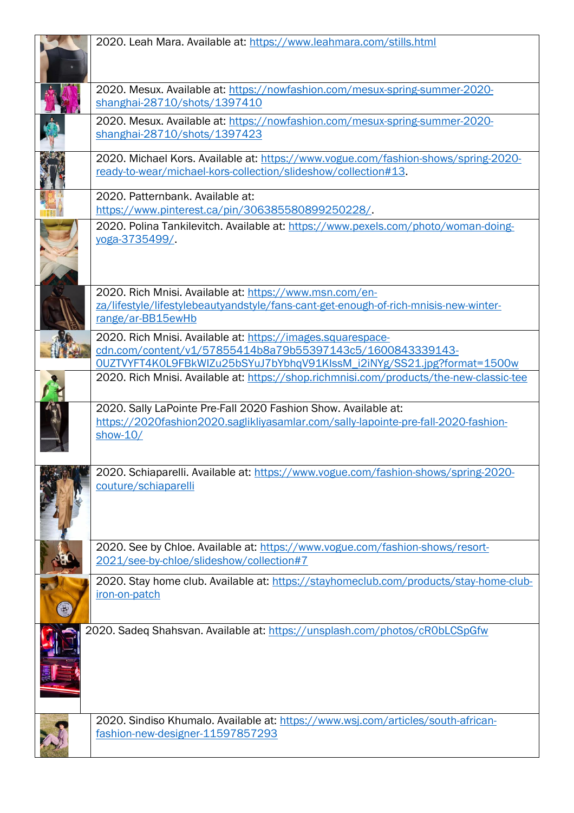| 2020. Leah Mara. Available at: https://www.leahmara.com/stills.html                                                                                                                                 |
|-----------------------------------------------------------------------------------------------------------------------------------------------------------------------------------------------------|
| 2020. Mesux. Available at: https://nowfashion.com/mesux-spring-summer-2020-<br>shanghai-28710/shots/1397410                                                                                         |
| 2020. Mesux. Available at: https://nowfashion.com/mesux-spring-summer-2020-<br>shanghai-28710/shots/1397423                                                                                         |
| 2020. Michael Kors. Available at: https://www.vogue.com/fashion-shows/spring-2020-<br>ready-to-wear/michael-kors-collection/slideshow/collection#13.                                                |
| 2020. Patternbank. Available at:<br>https://www.pinterest.ca/pin/306385580899250228/.                                                                                                               |
| 2020. Polina Tankilevitch. Available at: https://www.pexels.com/photo/woman-doing-<br>yoga-3735499/                                                                                                 |
| 2020. Rich Mnisi. Available at: https://www.msn.com/en-<br>za/lifestyle/lifestylebeautyandstyle/fans-cant-get-enough-of-rich-mnisis-new-winter-<br>range/ar-BB15ewHb                                |
| 2020. Rich Mnisi. Available at: https://images.squarespace-<br>cdn.com/content/v1/57855414b8a79b55397143c5/1600843339143-<br>0UZTVYFT4K0L9FBkWIZu25bSYuJ7bYbhqV91KIssM_i2iNYg/SS21.jpg?format=1500w |
| 2020. Rich Mnisi. Available at: https://shop.richmnisi.com/products/the-new-classic-tee                                                                                                             |
| 2020. Sally LaPointe Pre-Fall 2020 Fashion Show. Available at:<br>https://2020fashion2020.saglikliyasamlar.com/sally-lapointe-pre-fall-2020-fashion-<br>show-10/                                    |
| 2020. Schiaparelli. Available at: https://www.vogue.com/fashion-shows/spring-2020-<br>couture/schiaparelli                                                                                          |
| 2020. See by Chloe. Available at: https://www.vogue.com/fashion-shows/resort-<br>2021/see-by-chloe/slideshow/collection#7                                                                           |
| 2020. Stay home club. Available at: https://stayhomeclub.com/products/stay-home-club-<br>iron-on-patch                                                                                              |
| 2020. Sadeq Shahsvan. Available at: https://unsplash.com/photos/cR0bLCSpGfw                                                                                                                         |
| 2020. Sindiso Khumalo. Available at: https://www.wsj.com/articles/south-african-<br>fashion-new-designer-11597857293                                                                                |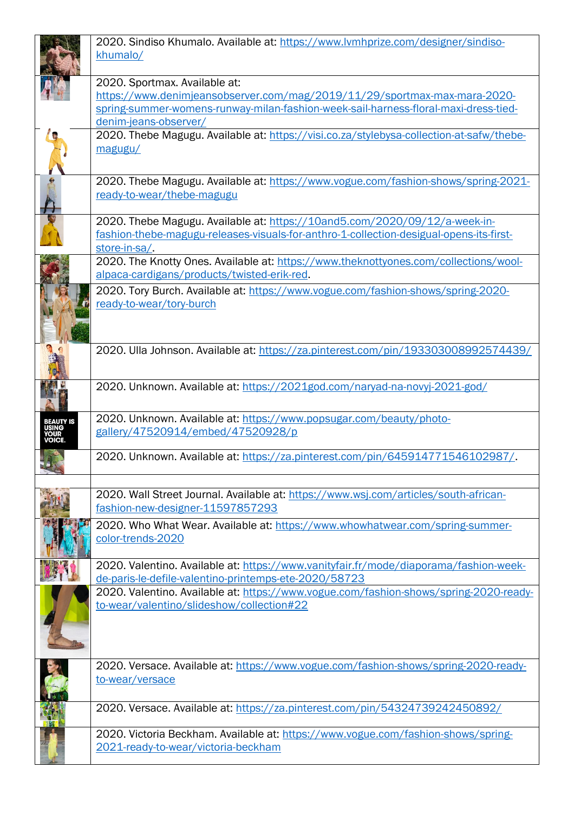|                | 2020. Sindiso Khumalo. Available at: https://www.lvmhprize.com/designer/sindiso-<br>khumalo/                                                   |
|----------------|------------------------------------------------------------------------------------------------------------------------------------------------|
|                | 2020. Sportmax. Available at:                                                                                                                  |
|                | https://www.denimjeansobserver.com/mag/2019/11/29/sportmax-max-mara-2020-                                                                      |
|                | spring-summer-womens-runway-milan-fashion-week-sail-harness-floral-maxi-dress-tied-<br>denim-jeans-observer/                                   |
|                | 2020. Thebe Magugu. Available at: https://visi.co.za/stylebysa-collection-at-safw/thebe-                                                       |
|                | magugu/                                                                                                                                        |
|                | 2020. Thebe Magugu. Available at: https://www.vogue.com/fashion-shows/spring-2021-<br>ready-to-wear/thebe-magugu                               |
|                | 2020. Thebe Magugu. Available at: https://10and5.com/2020/09/12/a-week-in-                                                                     |
|                | fashion-thebe-magugu-releases-visuals-for-anthro-1-collection-desigual-opens-its-first-                                                        |
|                | store-in-sa/.                                                                                                                                  |
|                | 2020. The Knotty Ones. Available at: https://www.theknottyones.com/collections/wool-<br>alpaca-cardigans/products/twisted-erik-red.            |
|                | 2020. Tory Burch. Available at: https://www.vogue.com/fashion-shows/spring-2020-                                                               |
|                | ready-to-wear/tory-burch                                                                                                                       |
|                | 2020. Ulla Johnson. Available at: https://za.pinterest.com/pin/193303008992574439/                                                             |
|                | 2020. Unknown. Available at: https://2021god.com/naryad-na-novyj-2021-god/                                                                     |
| YOUR<br>VOICE. | 2020. Unknown. Available at: https://www.popsugar.com/beauty/photo-<br>gallery/47520914/embed/47520928/p                                       |
|                | 2020. Unknown. Available at: https://za.pinterest.com/pin/645914771546102987/.                                                                 |
|                |                                                                                                                                                |
|                | 2020. Wall Street Journal. Available at: https://www.wsj.com/articles/south-african-<br>fashion-new-designer-11597857293                       |
|                | 2020. Who What Wear. Available at: https://www.whowhatwear.com/spring-summer-<br>color-trends-2020                                             |
|                | 2020. Valentino. Available at: https://www.vanityfair.fr/mode/diaporama/fashion-week-                                                          |
|                | de-paris-le-defile-valentino-printemps-ete-2020/58723<br>2020. Valentino. Available at: https://www.vogue.com/fashion-shows/spring-2020-ready- |
|                | to-wear/valentino/slideshow/collection#22                                                                                                      |
|                | 2020. Versace. Available at: https://www.vogue.com/fashion-shows/spring-2020-ready-                                                            |
|                | to-wear/versace                                                                                                                                |
|                | 2020. Versace. Available at: https://za.pinterest.com/pin/54324739242450892/                                                                   |
|                | 2020. Victoria Beckham. Available at: https://www.vogue.com/fashion-shows/spring-<br>2021-ready-to-wear/victoria-beckham                       |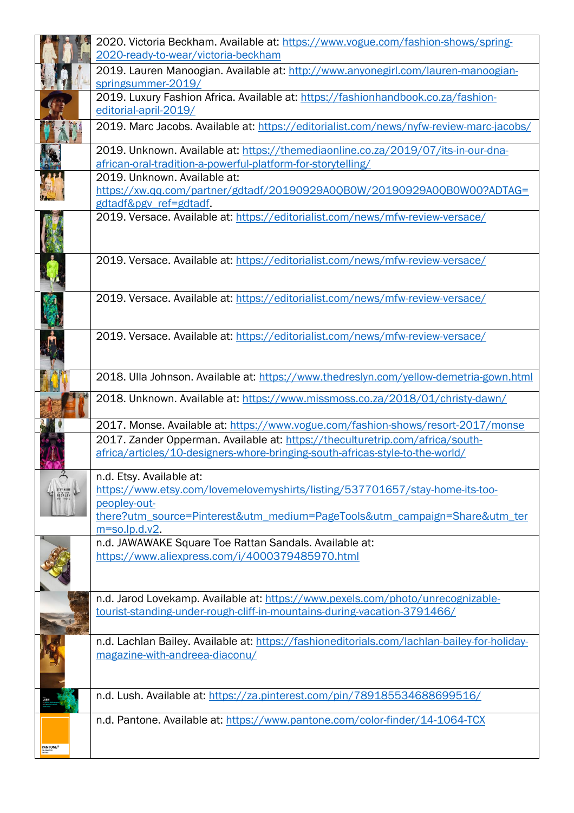|                      | 2020. Victoria Beckham. Available at: https://www.vogue.com/fashion-shows/spring-                                                                 |
|----------------------|---------------------------------------------------------------------------------------------------------------------------------------------------|
|                      | 2020-ready-to-wear/victoria-beckham                                                                                                               |
|                      | 2019. Lauren Manoogian. Available at: http://www.anyonegirl.com/lauren-manoogian-<br>springsummer-2019/                                           |
|                      | 2019. Luxury Fashion Africa. Available at: https://fashionhandbook.co.za/fashion-                                                                 |
|                      | editorial-april-2019/                                                                                                                             |
|                      | 2019. Marc Jacobs. Available at: https://editorialist.com/news/nyfw-review-marc-jacobs/                                                           |
|                      | 2019. Unknown. Available at: https://themediaonline.co.za/2019/07/its-in-our-dna-<br>african-oral-tradition-a-powerful-platform-for-storytelling/ |
|                      | 2019. Unknown. Available at:                                                                                                                      |
|                      | https://xw.qq.com/partner/gdtadf/20190929A0QB0W/20190929A0QB0W00?ADTAG=                                                                           |
|                      |                                                                                                                                                   |
|                      | gdtadf&pgy_ref=gdtadf.                                                                                                                            |
|                      | 2019. Versace. Available at: https://editorialist.com/news/mfw-review-versace/                                                                    |
|                      | 2019. Versace. Available at: https://editorialist.com/news/mfw-review-versace/                                                                    |
|                      | 2019. Versace. Available at: https://editorialist.com/news/mfw-review-versace/                                                                    |
|                      | 2019. Versace. Available at: https://editorialist.com/news/mfw-review-versace/                                                                    |
|                      | 2018. Ulla Johnson. Available at: https://www.thedreslyn.com/yellow-demetria-gown.html                                                            |
|                      | 2018. Unknown. Available at: https://www.missmoss.co.za/2018/01/christy-dawn/                                                                     |
|                      | 2017. Monse. Available at: https://www.vogue.com/fashion-shows/resort-2017/monse                                                                  |
|                      | 2017. Zander Opperman. Available at: https://theculturetrip.com/africa/south-                                                                     |
|                      | africa/articles/10-designers-whore-bringing-south-africas-style-to-the-world/                                                                     |
|                      | n.d. Etsy. Available at:                                                                                                                          |
|                      | https://www.etsy.com/lovemelovemyshirts/listing/537701657/stay-home-its-too-                                                                      |
|                      | peopley-out-                                                                                                                                      |
|                      | there?utm_source=Pinterest&utm_medium=PageTools&utm_campaign=Share&utm_ter                                                                        |
|                      | $m = solp.d.v2.$                                                                                                                                  |
|                      | n.d. JAWAWAKE Square Toe Rattan Sandals. Available at:                                                                                            |
|                      | https://www.aliexpress.com/i/4000379485970.html                                                                                                   |
|                      | n.d. Jarod Lovekamp. Available at: https://www.pexels.com/photo/unrecognizable-                                                                   |
|                      | tourist-standing-under-rough-cliff-in-mountains-during-vacation-3791466/                                                                          |
|                      |                                                                                                                                                   |
|                      |                                                                                                                                                   |
|                      | n.d. Lachlan Bailey. Available at: https://fashioneditorials.com/lachlan-bailey-for-holiday-<br>magazine-with-andreea-diaconu/                    |
|                      | n.d. Lush. Available at: https://za.pinterest.com/pin/789185534688699516/                                                                         |
|                      | n.d. Pantone. Available at: https://www.pantone.com/color-finder/14-1064-TCX                                                                      |
| PANTONE <sup>®</sup> |                                                                                                                                                   |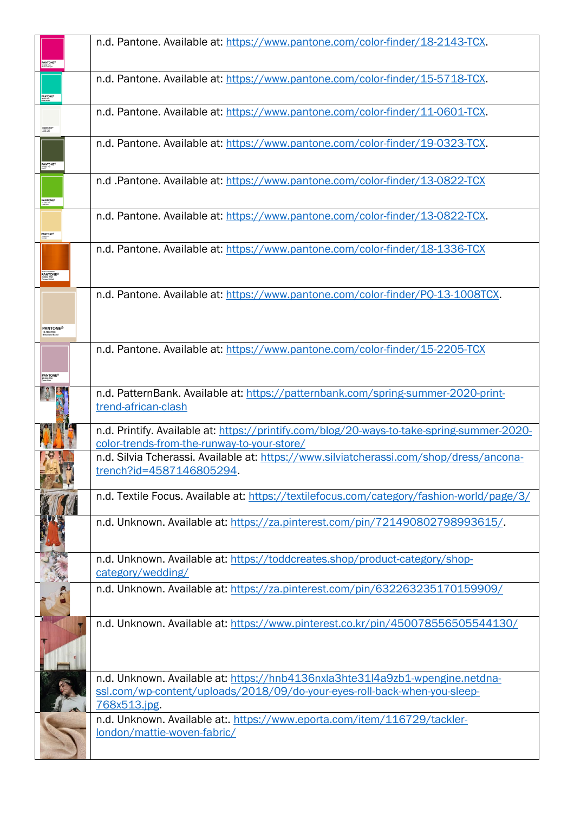|                                                      | n.d. Pantone. Available at: https://www.pantone.com/color-finder/18-2143-TCX.                                                                                             |
|------------------------------------------------------|---------------------------------------------------------------------------------------------------------------------------------------------------------------------------|
|                                                      |                                                                                                                                                                           |
|                                                      | n.d. Pantone. Available at: https://www.pantone.com/color-finder/15-5718-TCX.                                                                                             |
| PANTONE <sup>®</sup><br>THREE TOO                    | n.d. Pantone. Available at: https://www.pantone.com/color-finder/11-0601-TCX.                                                                                             |
| <b>PANTONE®</b>                                      | n.d. Pantone. Available at: https://www.pantone.com/color-finder/19-0323-TCX.                                                                                             |
| <b>PANTONE®</b><br>154942 TEX<br>Unive Zirat         | n.d. Pantone. Available at: https://www.pantone.com/color-finder/13-0822-TCX                                                                                              |
| PANTONE <sup>6</sup>                                 | n.d. Pantone. Available at: https://www.pantone.com/color-finder/13-0822-TCX.                                                                                             |
| PANTONE®                                             | n.d. Pantone. Available at: https://www.pantone.com/color-finder/18-1336-TCX                                                                                              |
| PANTONE <sup>®</sup><br>13-1008 TCX<br>Bleached Sand | n.d. Pantone. Available at: https://www.pantone.com/color-finder/PQ-13-1008TCX.                                                                                           |
| <b>PANTONE®</b>                                      | n.d. Pantone. Available at: https://www.pantone.com/color-finder/15-2205-TCX                                                                                              |
|                                                      | n.d. PatternBank. Available at: https://patternbank.com/spring-summer-2020-print-<br>trend-african-clash                                                                  |
|                                                      | n.d. Printify. Available at: https://printify.com/blog/20-ways-to-take-spring-summer-2020-<br>color-trends-from-the-runway-to-your-store/                                 |
|                                                      | n.d. Silvia Tcherassi. Available at: https://www.silviatcherassi.com/shop/dress/ancona-<br>trench?id=4587146805294.                                                       |
|                                                      | n.d. Textile Focus. Available at: https://textilefocus.com/category/fashion-world/page/3/                                                                                 |
|                                                      | n.d. Unknown. Available at: https://za.pinterest.com/pin/721490802798993615/.                                                                                             |
|                                                      | n.d. Unknown. Available at: https://toddcreates.shop/product-category/shop-<br>category/wedding/                                                                          |
|                                                      | n.d. Unknown. Available at: https://za.pinterest.com/pin/632263235170159909/                                                                                              |
|                                                      | n.d. Unknown. Available at: https://www.pinterest.co.kr/pin/450078556505544130/                                                                                           |
|                                                      | n.d. Unknown. Available at: https://hnb4136nxla3hte31l4a9zb1-wpengine.netdna-<br>ssl.com/wp-content/uploads/2018/09/do-your-eyes-roll-back-when-you-sleep-<br>768x513.jpg |
|                                                      | n.d. Unknown. Available at:. https://www.eporta.com/item/116729/tackler-<br>london/mattie-woven-fabric/                                                                   |
|                                                      |                                                                                                                                                                           |